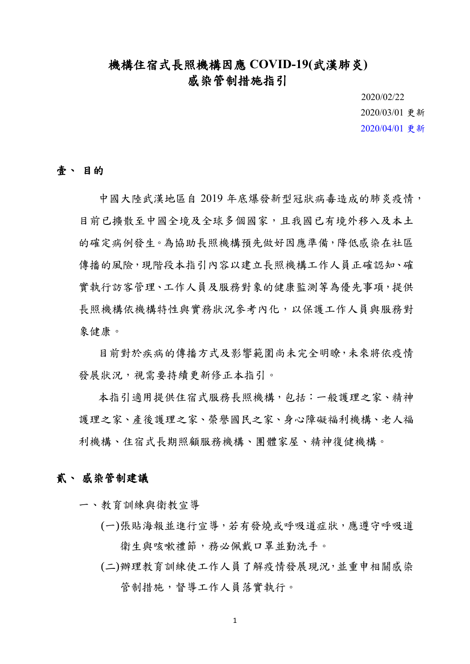## 機構住宿式長照機構因應 **COVID-19(**武漢肺炎**)** 感染管制措施指引

2020/02/22 2020/03/01 更新 2020/04/01 更新

## 壹、 目的

中國大陸武漢地區自 2019 年底爆發新型冠狀病毒造成的肺炎疫情, 目前已擴散至中國全境及全球多個國家,且我國已有境外移入及本土 的確定病例發生。為協助長照機構預先做好因應準備,降低感染在社區 傳播的風險,現階段本指引內容以建立長照機構工作人員正確認知、確 實執行訪客管理、工作人員及服務對象的健康監測等為優先事項,提供 長照機構依機構特性與實務狀況參考內化,以保護工作人員與服務對 象健康。

目前對於疾病的傳播方式及影響範圍尚未完全明瞭,未來將依疫情 發展狀況,視需要持續更新修正本指引。

本指引適用提供住宿式服務長照機構,包括:一般護理之家、精神 護理之家、產後護理之家、榮譽國民之家、身心障礙福利機構、老人福 利機構、住宿式長期照顧服務機構、團體家屋、精神復健機構。

## 貳、 感染管制建議

一、教育訓練與衛教宣導

- (一)張貼海報並進行宣導,若有發燒或呼吸道症狀,應遵守呼吸道 衛生與咳嗽禮節,務必佩戴口罩並勤洗手。
- (二)辦理教育訓練使工作人員了解疫情發展現況,並重申相關感染 管制措施,督導工作人員落實執行。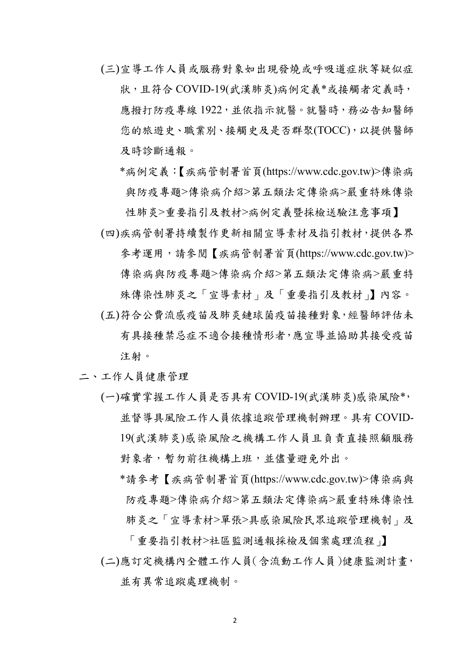- (三)宣導工作人員或服務對象如出現發燒或呼吸道症狀等疑似症 狀,且符合 COVID-19(武漢肺炎)病例定義\*或接觸者定義時, 應撥打防疫專線 1922,並依指示就醫。就醫時,務必告知醫師 您的旅遊史、職業別、接觸史及是否群聚(TOCC),以提供醫師 及時診斷通報。
	- \*病例定義:【疾病管制署首頁(https://www.cdc.gov.tw)>傳染病 與防疫專題>傳染病令紹>第五類法定傳染病>嚴重特殊傳染

性肺炎>重要指引及教材>[病例定義暨採檢送驗注意事項】](https://www.cdc.gov.tw/File/Get/jcbVc8LNCXwvfJxYlj_P4A) (四)疾病管制署持續製作更新相關宣導素材及指引教材,提供各界 參考運用,請參閱【疾病管制署首頁(https://www.cdc.gov.tw)> 傳染病與防疫專題>傳染病介紹>第五類法定傳染病>嚴重特

殊傳染性肺炎之「宣導素材」及「重要指引及教材」】內容。

- (五)符合公費流感疫苗及肺炎鏈球菌疫苗接種對象,經醫師評估未 有具接種禁忌症不適合接種情形者,應宣導並協助其接受疫苗 注射。
- 二、工作人員健康管理
	- (一)確實掌握工作人員是否具有 COVID-19(武漢肺炎)感染風險\*, 並督導具風險工作人員依據追蹤管理機制辦理。具有 COVID-19(武漢肺炎)感染風險之機構工作人員且負責直接照顧服務 對象者,暫勿前往機構上班,並儘量避免外出。
		- \*請參考【疾病管制署首頁(https://www.cdc.gov.tw)>傳染病與 防疫專題>傳染病介紹>第五類法定傳染病>嚴重特殊傳染性 肺炎之「宣導素材>單張>具感染風險民眾追蹤管理機制」及

「重要指引教材>社區監測通報採檢及個案處理流程」】 (二)應訂定機構內全體工作人員(含流動工作人員)健康監測計畫, 並有異常追蹤處理機制。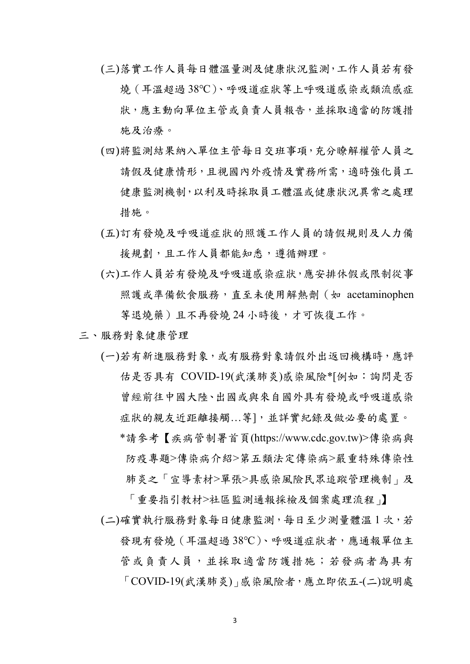- (三)落實工作人員每日體溫量測及健康狀況監測,工作人員若有發 燒(耳溫超過 38℃)、呼吸道症狀等上呼吸道感染或類流感症 狀,應主動向單位主管或負責人員報告,並採取適當的防護措 施及治療。
- (四)將監測結果納入單位主管每日交班事項,充分瞭解權管人員之 請假及健康情形,且視國內外疫情及實務所需,適時強化員工 健康監測機制,以利及時採取員工體溫或健康狀況異常之處理 措施。
- (五)訂有發燒及呼吸道症狀的照護工作人員的請假規則及人力備 援規劃,且工作人員都能知悉,遵循辦理。
- (六)工作人員若有發燒及呼吸道感染症狀,應安排休假或限制從事 照護或準備飲食服務, 直至未使用解熱劑 (如 acetaminophen 等退燒藥)且不再發燒24小時後,才可恢復工作。
- 三、服務對象健康管理
	- (一)若有新進服務對象,或有服務對象請假外出返回機構時,應評 估是否具有 COVID-19(武漢肺炎)感染風險\*[例如:詢問是否 曾經前往中國大陸、出國或與來自國外具有發燒或呼吸道感染 症狀的親友近距離接觸...等],並詳實紀錄及做必要的處置。 \*請參考【疾病管制署首頁(https://www.cdc.gov.tw)>傳染病與 防疫專題>傳染病介紹>第五類法定傳染病>嚴重特殊傳染性 肺炎之「宣導素材>單張>具感染風險民眾追蹤管理機制」及

「重要指引教材>社區監測通報採檢及個案處理流程」】 (二)確實執行服務對象每日健康監測,每日至少測量體溫 1 次,若 發現有發燒(耳溫超過38℃)、呼吸道症狀者,應通報單位主 管或負責人員,並採取適當防護措施;若發病者為具有 「COVID-19(武漢肺炎)」感染風險者,應立即依五-(二)說明處

3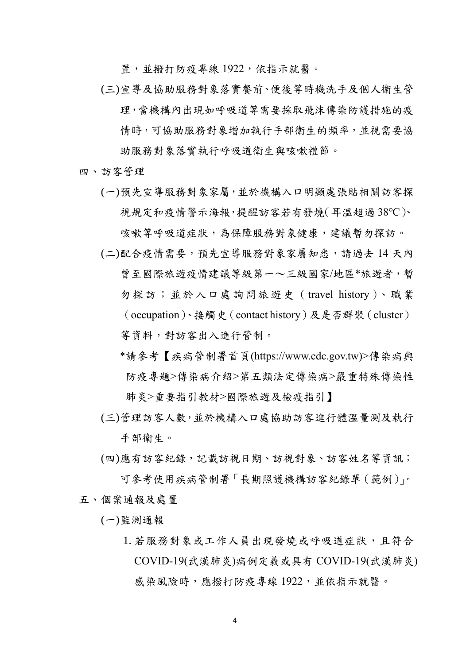置,並撥打防疫專線 1922,依指示就醫。

- (三)宣導及協助服務對象落實餐前、便後等時機洗手及個人衛生管 理,當機構內出現如呼吸道等需要採取飛沫傳染防護措施的疫 情時,可協助服務對象增加執行手部衛生的頻率,並視需要協 助服務對象落實執行呼吸道衛生與咳嗽禮節。
- 四、訪客管理
	- (一)預先宣導服務對象家屬,並於機構入口明顯處張貼相關訪客探 視規定和疫情警示海報,提醒訪客若有發燒(耳溫超過 38℃)、

咳嗽等呼吸道症狀,為保障服務對象健康,建議暫勿探訪。

- (二)配合疫情需要,預先宣導服務對象家屬知悉,請過去 14 天內 曾至國際旅遊疫情建議等級第一~三級國家/地區\*旅遊者,暫 勿探訪;並於入口處詢問旅遊史(travel history)、職業 (occupation)、接觸史(contact history)及是否群聚(cluster) 等資料,對訪客出入進行管制。
	- \*請參考【疾病管制署首頁(https://www.cdc.gov.tw)>傳染病與 防疫專題>傳染病介紹>第五類法定傳染病>嚴重特殊傳染性 肺炎>重要指引教材>國際旅遊及檢疫指引】
- (三)管理訪客人數,並於機構入口處協助訪客進行體溫量測及執行 手部衛生。
- (四)應有訪客紀錄,記載訪視日期、訪視對象、訪客姓名等資訊; 可參考使用疾病管制署「長期照護機構訪客紀錄單(範例)」。 五、個案通報及處置

(一)監測通報

1. 若服務對象或工作人員出現發燒或呼吸道症狀,且符合 COVID-19(武漢肺炎)病例定義或具有 COVID-19(武漢肺炎) 感染風險時,應撥打防疫專線 1922,並依指示就醫。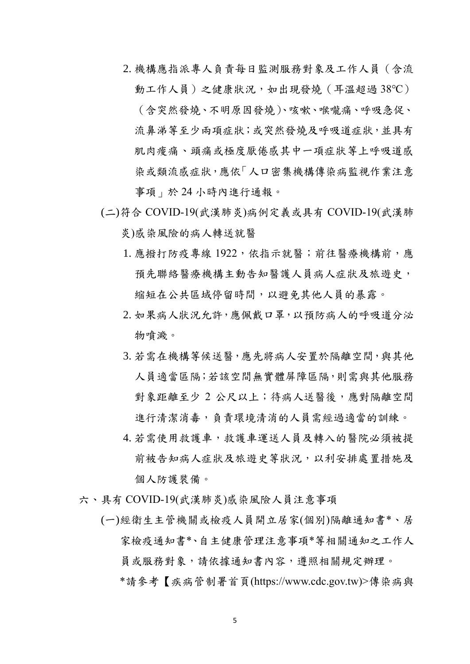- 2. 機構應指派專人負責每日監測服務對象及工作人員(含流 動工作人員)之健康狀況, 如出現發燒 (耳溫超過 38℃) (含突然發燒、不明原因發燒)、咳嗽、喉嚨痛、呼吸急促、 流鼻涕等至少兩項症狀;或突然發燒及呼吸道症狀,並具有 肌肉痠痛、頭痛或極度厭倦感其中一項症狀等上呼吸道感 染或類流感症狀,應依「人口密集機構傳染病監視作業注意 事項」於 24 小時內進行通報。
- (二)符合 COVID-19(武漢肺炎)病例定義或具有 COVID-19(武漢肺 炎)感染風險的病人轉送就醫
	- 1. 應撥打防疫專線 1922, 依指示就醫;前往醫療機構前,應 預先聯絡醫療機構主動告知醫護人員病人症狀及旅遊史, 縮短在公共區域停留時間,以避免其他人員的暴露。
	- 2. 如果病人狀況允許,應佩戴口罩,以預防病人的呼吸道分泌 物噴濺。
	- 3. 若需在機構等候送醫,應先將病人安置於隔離空間,與其他 人員適當區隔;若該空間無實體屏障區隔,則需與其他服務 對象距離至少 2 公尺以上;待病人送醫後,應對隔離空間 進行清潔消毒,負責環境清消的人員需經過適當的訓練。
	- 4. 若需使用救護車,救護車運送人員及轉入的醫院必須被提 前被告知病人症狀及旅遊史等狀況,以利安排處置措施及 個人防護裝備。
- 六、具有 COVID-19(武漢肺炎)感染風險人員注意事項
	- (一)經衛生主管機關或檢疫人員開立居家(個別)隔離通知書\*、居 家檢疫通知書\*、自主健康管理注意事項\*等相關通知之工作人 員或服務對象,請依據通知書內容,遵照相關規定辦理。 \*請參考【疾病管制署首頁(https://www.cdc.gov.tw)>傳染病與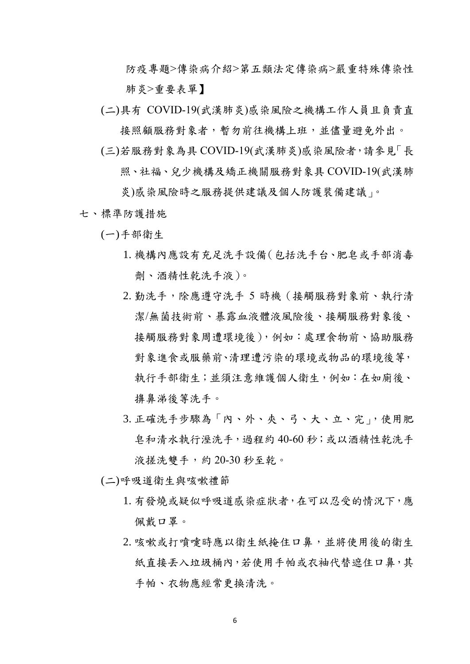防疫專題>傳染病介紹>第五類法定傳染病>嚴重特殊傳染性 肺炎>重要表單】

- (二)具有 COVID-19(武漢肺炎)感染風險之機構工作人員且負責直 接照顧服務對象者,暫勿前往機構上班,並儘量避免外出。
- (三)若服務對象為具 COVID-19(武漢肺炎)感染風險者,請參見「長 照、社福、兒少機構及矯正機關服務對象具 COVID-19(武漢肺

炎)感染風險時之服務提供建議及個人防護裝備建議」。

- 七、標準防護措施
	- (一)手部衛生
		- 1. 機構內應設有充足洗手設備(包括洗手台、肥皂或手部消毒 劑、酒精性乾洗手液)。
		- 2. 勤洗手,除應遵守洗手 5 時機(接觸服務對象前、執行清 潔/無菌技術前、暴露血液體液風險後、接觸服務對象後、 接觸服務對象周遭環境後),例如:處理食物前、協助服務 對象進食或服藥前、清理遭污染的環境或物品的環境後等, 執行手部衛生;並須注意維護個人衛生,例如:在如廁後、 擤鼻涕後等洗手。
		- 3. 正確洗手步驟為「內、外、夾、弓、大、立、完」,使用肥 皂和清水執行溼洗手,過程約 40-60 秒;或以酒精性乾洗手 液搓洗雙手,約 20-30 秒至乾。
	- (二)呼吸道衛生與咳嗽禮節
		- 1. 有發燒或疑似呼吸道感染症狀者,在可以忍受的情況下,應 佩戴口罩。
		- 2. 咳嗽或打噴嚏時應以衛生紙掩住口鼻, 並將使用後的衛生 紙直接丢入垃圾桶內,若使用手帕或衣袖代替遮住口鼻,其 手帕、衣物應經常更換清洗。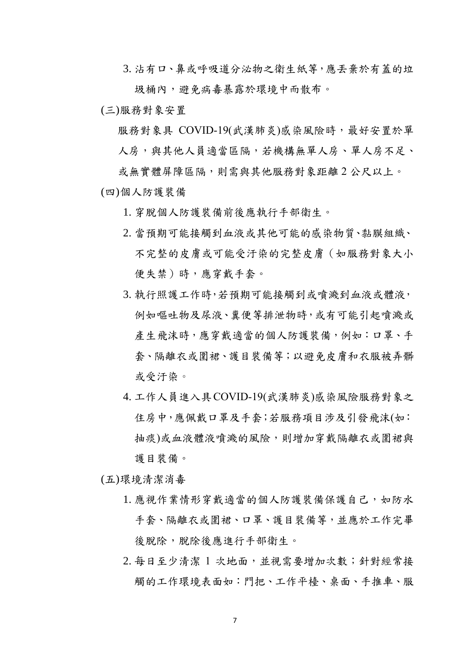3. 沾有口、鼻或呼吸道分泌物之衛生紙等,應丟棄於有蓋的垃 圾桶內,避免病毒暴露於環境中而散布。

(三)服務對象安置

服務對象具 COVID-19(武漢肺炎)感染風險時,最好安置於單 人房,與其他人員適當區隔,若機構無單人房、單人房不足、

或無實體屏障區隔,則需與其他服務對象距離 2 公尺以上。 (四)個人防護裝備

1. 穿脫個人防護裝備前後應執行手部衛生。

- 2. 當預期可能接觸到血液或其他可能的感染物質、黏膜組織、 不完整的皮膚或可能受汙染的完整皮膚(如服務對象大小 便失禁)時,應穿戴手套。
- 3. 執行照護工作時,若預期可能接觸到或噴濺到血液或體液, 例如嘔吐物及尿液、糞便等排泄物時,或有可能引起噴濺或 產生飛沫時,應穿戴適當的個人防護裝備,例如:口罩、手 套、隔離衣或圍裙、護目裝備等;以避免皮膚和衣服被弄髒 或受汙染。
- 4. 工作人員進入具COVID-19(武漢肺炎)感染風險服務對象之 住房中,應佩戴口罩及手套;若服務項目涉及引發飛沫(如: 抽痰)或血液體液噴濺的風險,則增加穿戴隔離衣或圍裙與 護目裝備。

(五)環境清潔消毒

- 1. 應視作業情形穿戴適當的個人防護裝備保護自己,如防水 手套、隔離衣或圍裙、口罩、護目裝備等,並應於工作完畢 後脫除,脫除後應進行手部衛生。
- 2. 每日至少清潔 1 次地面, 並視需要增加次數; 針對經常接 觸的工作環境表面如:門把、工作平檯、桌面、手推車、服

7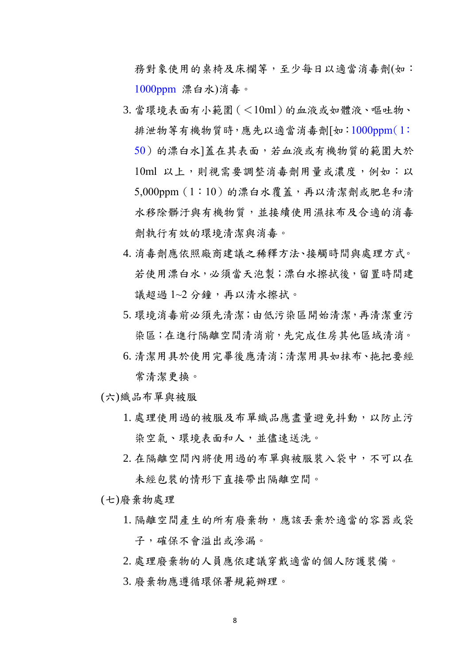務對象使用的桌椅及床欄等,至少每日以適當消毒劑(如: 1000ppm 漂白水)消毒。

- 3. 當環境表面有小範圍(<10ml)的血液或如體液、嘔吐物、 排泄物等有機物質時,應先以適當消毒劑[如:1000ppm(1: 50)的漂白水]蓋在其表面,若血液或有機物質的範圍大於 10ml 以上,則視需要調整消毒劑用量或濃度,例如:以 5,000ppm(1:10)的漂白水覆蓋,再以清潔劑或肥皂和清 水移除髒汗與有機物質,並接續使用濕抹布及合適的消毒 劑執行有效的環境清潔與消毒。
- 4. 消毒劑應依照廠商建議之稀釋方法、接觸時間與處理方式。 若使用漂白水,必須當天泡製;漂白水擦拭後,留置時間建 議超過1~2分鐘,再以清水擦拭。
- 5. 環境消毒前必須先清潔;由低污染區開始清潔,再清潔重污 染區;在進行隔離空間清消前,先完成住房其他區域清消。
- 6. 清潔用具於使用完畢後應清消;清潔用具如抹布、拖把要經 常清潔更換。

(六)織品布單與被服

- 1. 處理使用過的被服及布單織品應盡量避免抖動,以防止污 染空氣、環境表面和人,並儘速送洗。
- 2. 在隔離空間內將使用過的布單與被服裝入袋中,不可以在 未經包裝的情形下直接帶出隔離空間。

(七)廢棄物處理

- 1. 隔離空間產生的所有廢棄物,應該丟棄於適當的容器或袋 子,確保不會溢出或滲漏。
- 2. 處理廢棄物的人員應依建議穿戴適當的個人防護裝備。
- 3. 廢棄物應遵循環保署規範辦理。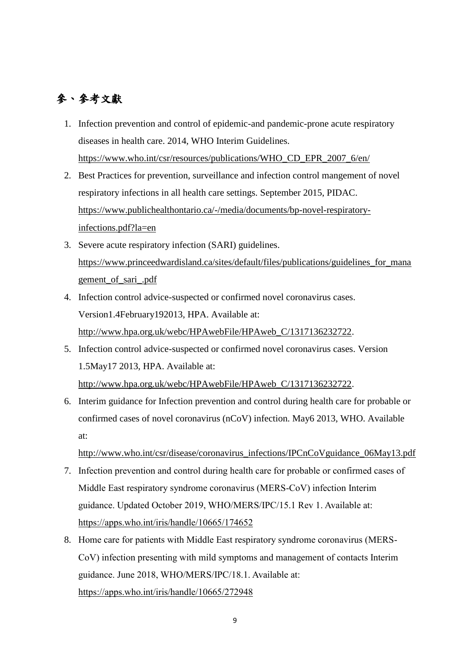## 參、參考文獻

- 1. Infection prevention and control of epidemic-and pandemic-prone acute respiratory diseases in health care. 2014, WHO Interim Guidelines. [https://www.who.int/csr/resources/publications/WHO\\_CD\\_EPR\\_2007\\_6/en/](https://www.who.int/csr/resources/publications/WHO_CD_EPR_2007_6/en/)
- 2. Best Practices for prevention, surveillance and infection control mangement of novel respiratory infections in all health care settings. September 2015, PIDAC. [https://www.publichealthontario.ca/-/media/documents/bp-novel-respiratory](https://www.publichealthontario.ca/-/media/documents/bp-novel-respiratory-infections.pdf?la=en)[infections.pdf?la=en](https://www.publichealthontario.ca/-/media/documents/bp-novel-respiratory-infections.pdf?la=en)
- 3. Severe acute respiratory infection (SARI) guidelines. [https://www.princeedwardisland.ca/sites/default/files/publications/guidelines\\_for\\_mana](https://www.princeedwardisland.ca/sites/default/files/publications/guidelines_for_management_of_sari_.pdf) [gement\\_of\\_sari\\_.pdf](https://www.princeedwardisland.ca/sites/default/files/publications/guidelines_for_management_of_sari_.pdf)
- 4. Infection control advice-suspected or confirmed novel coronavirus cases. Version1.4February192013, HPA. Available at: [http://www.hpa.org.uk/webc/HPAwebFile/HPAweb\\_C/1317136232722.](http://www.hpa.org.uk/webc/HPAwebFile/HPAweb_C/1317136232722)
- 5. Infection control advice-suspected or confirmed novel coronavirus cases. Version 1.5May17 2013, HPA. Available at: [http://www.hpa.org.uk/webc/HPAwebFile/HPAweb\\_C/1317136232722.](http://www.hpa.org.uk/webc/HPAwebFile/HPAweb_C/1317136232722)
- 6. Interim guidance for Infection prevention and control during health care for probable or confirmed cases of novel coronavirus (nCoV) infection. May6 2013, WHO. Available at:

http://www.who.int/csr/disease/coronavirus\_infections/IPCnCoVguidance\_06May13.pdf

- 7. Infection prevention and control during health care for probable or confirmed cases of Middle East respiratory syndrome coronavirus (MERS-CoV) infection Interim guidance. Updated October 2019, WHO/MERS/IPC/15.1 Rev 1. Available at: <https://apps.who.int/iris/handle/10665/174652>
- 8. Home care for patients with Middle East respiratory syndrome coronavirus (MERS-CoV) infection presenting with mild symptoms and management of contacts Interim guidance. June 2018, WHO/MERS/IPC/18.1. Available at: <https://apps.who.int/iris/handle/10665/272948>